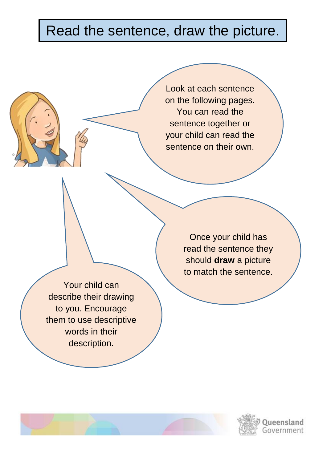## Read the sentence, draw the picture.

Look at each sentence on the following pages. You can read the sentence together or your child can read the sentence on their own.

Your child can describe their drawing to you. Encourage them to use descriptive words in their description.

Once your child has read the sentence they should **draw** a picture to match the sentence.

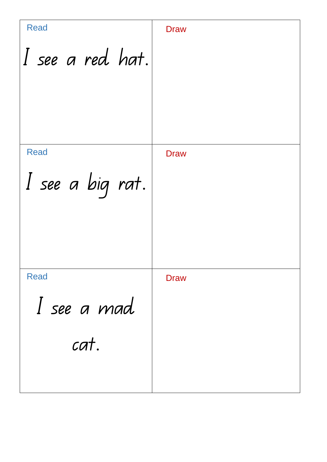I see a red hat. I see a big rat. I see a mad cat. **Draw Draw** Read Draw Read Read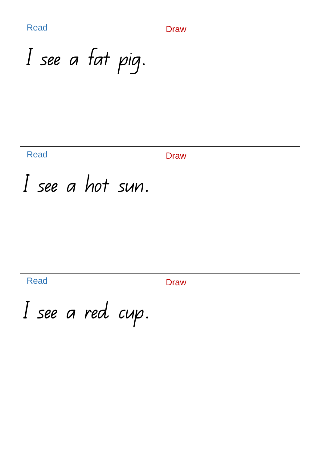| <b>Read</b>         | <b>Draw</b> |
|---------------------|-------------|
| I see a fat pig.    |             |
| <b>Read</b>         | <b>Draw</b> |
| I see a hot sun.    |             |
| <b>Read</b>         | <b>Draw</b> |
| $ I$ see a red cup. |             |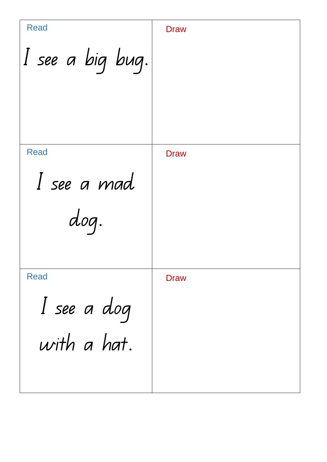| <b>Read</b><br>I see a big bug.           | <b>Draw</b> |
|-------------------------------------------|-------------|
| <b>Read</b><br>I see a mad<br>dog.        | <b>Draw</b> |
| <b>Read</b><br>I see a dog<br>with a hat. | <b>Draw</b> |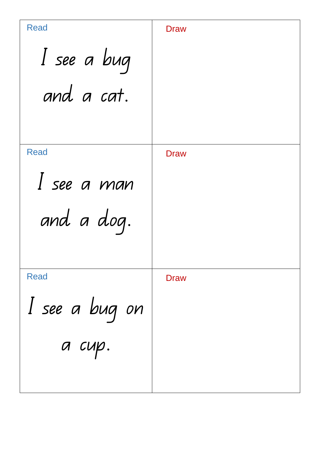| <b>Read</b>    | <b>Draw</b> |
|----------------|-------------|
| I see a bug    |             |
| and a cat.     |             |
|                |             |
| <b>Read</b>    | <b>Draw</b> |
| I see a man    |             |
| and a dog.     |             |
|                |             |
| <b>Read</b>    | <b>Draw</b> |
| I see a bug on |             |
| а сир.         |             |
|                |             |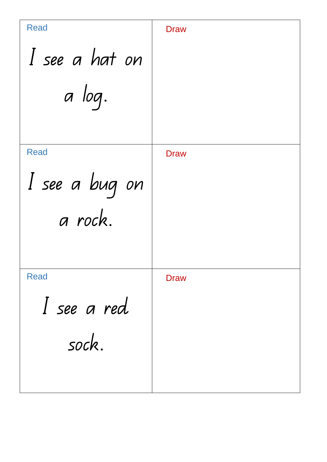| <b>Read</b>    | <b>Draw</b> |
|----------------|-------------|
| I see a hat on |             |
| a log.         |             |
|                |             |
| <b>Read</b>    | <b>Draw</b> |
| I see a bug on |             |
| a rock.        |             |
|                |             |
| <b>Read</b>    | <b>Draw</b> |
| I see a red    |             |
| sock.          |             |
|                |             |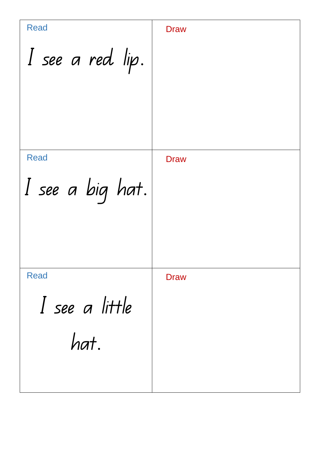I see a red lip. I see a big hat. I see a little hat. **Draw Draw** Read Draw Draw Read Read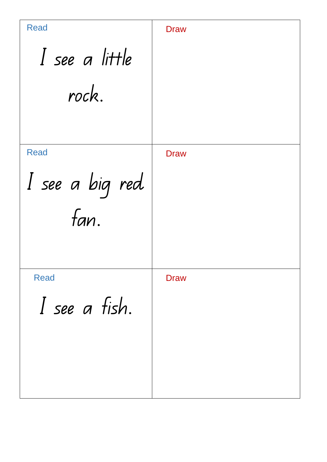| <b>Read</b>             | <b>Draw</b> |
|-------------------------|-------------|
| I see a little          |             |
| rock.                   |             |
| <b>Read</b>             | <b>Draw</b> |
| I see a big red<br>fan. |             |
| <b>Read</b>             | <b>Draw</b> |
| I see a fish.           |             |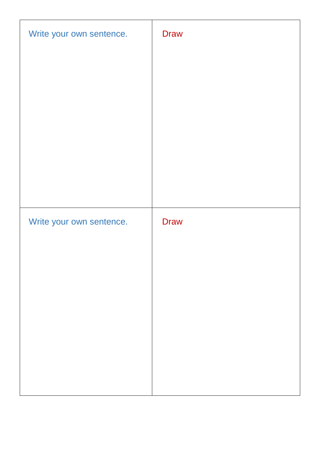| Write your own sentence. | <b>Draw</b> |
|--------------------------|-------------|
|                          |             |
|                          |             |
|                          |             |
|                          |             |
|                          |             |
|                          |             |
| Write your own sentence. | <b>Draw</b> |
|                          |             |
|                          |             |
|                          |             |
|                          |             |
|                          |             |
|                          |             |